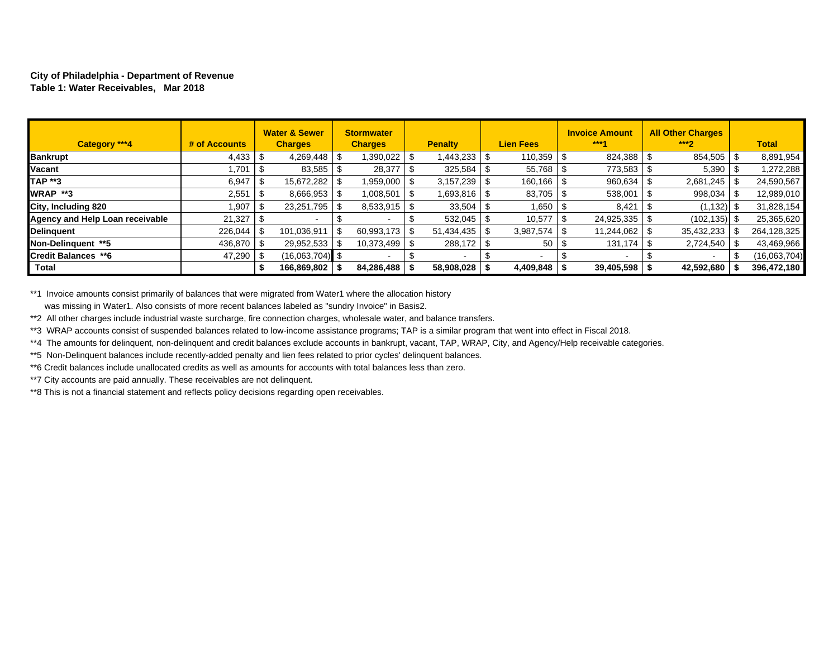#### **City of Philadelphia - Department of Revenue Table 1: Water Receivables, Mar 2018**

| Category ***4                   | # of Accounts |      | <b>Water &amp; Sewer</b><br><b>Charges</b> | <b>Stormwater</b><br><b>Charges</b> | <b>Penalty</b> |      | <b>Lien Fees</b> | <b>Invoice Amount</b><br>***4 | <b>All Other Charges</b><br>$***2$ | <b>Total</b> |
|---------------------------------|---------------|------|--------------------------------------------|-------------------------------------|----------------|------|------------------|-------------------------------|------------------------------------|--------------|
| <b>Bankrupt</b>                 |               |      | 4,269,448                                  | 1,390,022                           | 1,443,233      |      | 110,359          | 824,388 \$                    | 854,505                            | 8,891,954    |
| Vacant                          | .701          | - \$ | 83,585                                     | 28,377                              | 325,584        |      | 55,768           | 773,583                       | 5,390                              | 1,272,288    |
| <b>TAP **3</b>                  | 6,947         |      | 15,672,282                                 | 959,000                             | 3,157,239      |      | $160, 166$ \ \$  | 960,634                       | 2,681,245                          | 24,590,567   |
| <b>WRAP **3</b>                 | 2,551         | l \$ | 8,666,953                                  | 1,008,501                           | 1,693,816   \$ |      | $83,705$ \ \$    | 538,001                       | 998,034                            | 12,989,010   |
| City, Including 820             | 1,907         | l S  | 23,251,795                                 | 8,533,915                           | 33,504         |      | 1,650            | 8,421                         | (1, 132)                           | 31,828,154   |
| Agency and Help Loan receivable | 21,327        | - \$ |                                            |                                     | 532,045        | - \$ | 10,577           | 24,925,335 \$                 | (102, 135)                         | 25,365,620   |
| <b>Delinguent</b>               | $226.044$ S   |      | 101,036,911                                | 60,993,173                          | 51.434.435     | - \$ | 3,987,574        | 11,244,062                    | 35,432,233                         | 264,128,325  |
| Non-Delinguent **5              | 436,870 \$    |      | 29,952,533                                 | 10,373,499                          | 288,172        | - \$ | 50               | 131,174                       |                                    | 43,469,966   |
| Credit Balances **6             | $47,290$ \ \$ |      | $(16.063, 704)$ \$                         |                                     |                |      | $\blacksquare$   |                               |                                    | (16,063,704) |
| <b>Total</b>                    |               | -3   | 166,869,802                                | 84,286,488                          | 58,908,028     |      | $4,409,848$ \ \$ | $39,405,598$   \$             | 42,592,680                         | 396,472,180  |

\*\*1 Invoice amounts consist primarily of balances that were migrated from Water1 where the allocation history was missing in Water1. Also consists of more recent balances labeled as "sundry Invoice" in Basis2.

\*\*2 All other charges include industrial waste surcharge, fire connection charges, wholesale water, and balance transfers.

\*\*3 WRAP accounts consist of suspended balances related to low-income assistance programs; TAP is a similar program that went into effect in Fiscal 2018.

\*\*4 The amounts for delinquent, non-delinquent and credit balances exclude accounts in bankrupt, vacant, TAP, WRAP, City, and Agency/Help receivable categories.

\*\*5 Non-Delinquent balances include recently-added penalty and lien fees related to prior cycles' delinquent balances.

\*\*6 Credit balances include unallocated credits as well as amounts for accounts with total balances less than zero.

\*\*7 City accounts are paid annually. These receivables are not delinquent.

\*\*8 This is not a financial statement and reflects policy decisions regarding open receivables.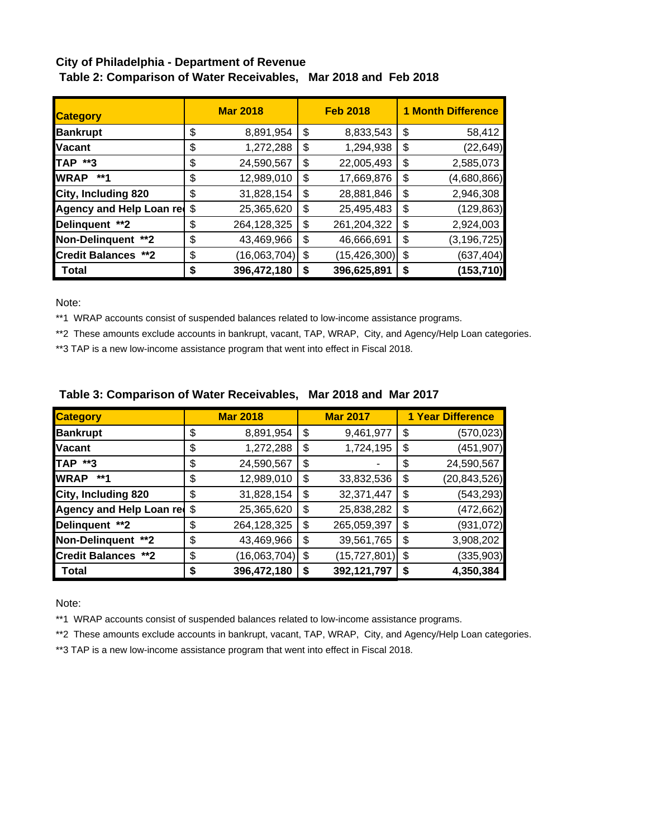# **City of Philadelphia - Department of Revenue Table 2: Comparison of Water Receivables, Mar 2018 and Feb 2018**

| <b>Category</b>            | <b>Mar 2018</b> |              |    | <b>Feb 2018</b> | <b>1 Month Difference</b> |               |  |
|----------------------------|-----------------|--------------|----|-----------------|---------------------------|---------------|--|
| <b>Bankrupt</b>            | \$              | 8,891,954    | \$ | 8,833,543       | \$                        | 58,412        |  |
| <b>IVacant</b>             | \$              | 1,272,288    | \$ | 1,294,938       | \$                        | (22, 649)     |  |
| <b>TAP **3</b>             | \$              | 24,590,567   | \$ | 22,005,493      | \$                        | 2,585,073     |  |
| <b>WRAP</b><br>**1         | \$              | 12,989,010   | \$ | 17,669,876      | \$                        | (4,680,866)   |  |
| City, Including 820        | \$              | 31,828,154   | \$ | 28,881,846      | \$                        | 2,946,308     |  |
| Agency and Help Loan red   | \$              | 25,365,620   | \$ | 25,495,483      | \$                        | (129, 863)    |  |
| Delinquent **2             | \$              | 264,128,325  | \$ | 261,204,322     | \$                        | 2,924,003     |  |
| Non-Delinquent **2         | \$              | 43,469,966   | \$ | 46,666,691      | \$                        | (3, 196, 725) |  |
| <b>Credit Balances **2</b> | \$              | (16,063,704) | \$ | (15, 426, 300)  | \$                        | (637, 404)    |  |
| Total                      | \$              | 396,472,180  | S  | 396,625,891     | \$                        | (153,710)     |  |

Note:

\*\*1 WRAP accounts consist of suspended balances related to low-income assistance programs.

\*\*2 These amounts exclude accounts in bankrupt, vacant, TAP, WRAP, City, and Agency/Help Loan categories.

\*\*3 TAP is a new low-income assistance program that went into effect in Fiscal 2018.

| <b>Category</b>                 |    | <b>Mar 2018</b> | <b>Mar 2017</b>      | <b>1 Year Difference</b> |                |  |
|---------------------------------|----|-----------------|----------------------|--------------------------|----------------|--|
| <b>Bankrupt</b>                 | \$ | 8,891,954       | \$<br>9,461,977      | \$                       | (570, 023)     |  |
| <b>Vacant</b>                   | \$ | 1,272,288       | \$<br>1,724,195      | \$                       | (451, 907)     |  |
| <b>TAP **3</b>                  | \$ | 24,590,567      | \$                   | \$                       | 24,590,567     |  |
| <b>WRAP</b><br>**1              | \$ | 12,989,010      | \$<br>33,832,536     | \$                       | (20, 843, 526) |  |
| City, Including 820             | \$ | 31,828,154      | \$<br>32,371,447     | \$                       | (543, 293)     |  |
| <b>Agency and Help Loan red</b> | \$ | 25,365,620      | \$<br>25,838,282     | \$                       | (472, 662)     |  |
| Delinquent **2                  | \$ | 264,128,325     | \$<br>265,059,397    | \$                       | (931,072)      |  |
| Non-Delinquent **2              | \$ | 43,469,966      | \$<br>39,561,765     | \$                       | 3,908,202      |  |
| <b>Credit Balances **2</b>      | \$ | (16,063,704)    | \$<br>(15, 727, 801) | \$                       | (335, 903)     |  |
| Total                           | S  | 396,472,180     | \$<br>392,121,797    | \$                       | 4,350,384      |  |

## **Table 3: Comparison of Water Receivables, Mar 2018 and Mar 2017**

Note:

\*\*1 WRAP accounts consist of suspended balances related to low-income assistance programs.

\*\*2 These amounts exclude accounts in bankrupt, vacant, TAP, WRAP, City, and Agency/Help Loan categories.

\*\*3 TAP is a new low-income assistance program that went into effect in Fiscal 2018.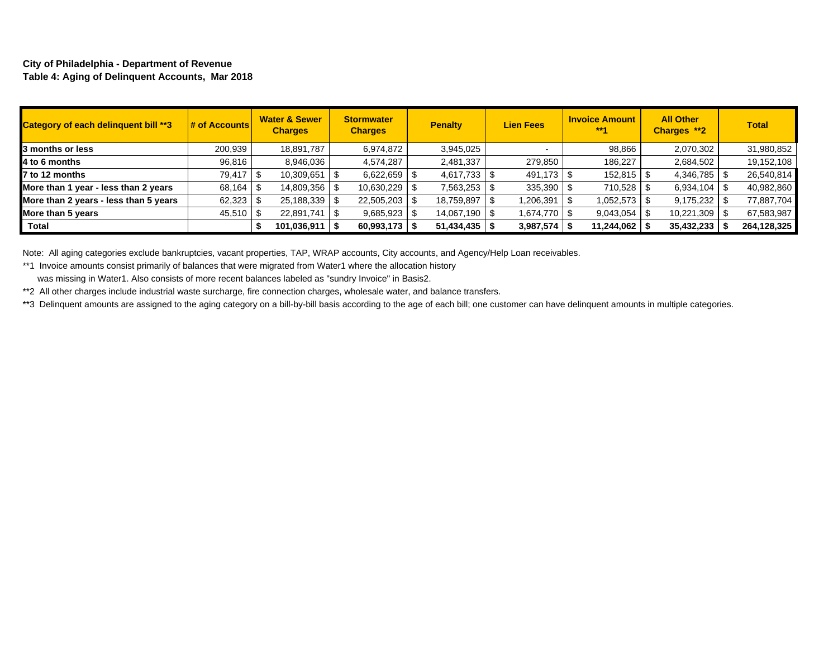#### **City of Philadelphia - Department of Revenue Table 4: Aging of Delinquent Accounts, Mar 2018**

| Category of each delinquent bill **3  | $\frac{1}{2}$ of Accounts | <b>Water &amp; Sewer</b><br><b>Charges</b> | <b>Stormwater</b><br><b>Charges</b> | <b>Penalty</b>  | <b>Lien Fees</b> | <b>Invoice Amount</b><br>$***4$ | <b>All Other</b><br>Charges **2 | <b>Total</b> |
|---------------------------------------|---------------------------|--------------------------------------------|-------------------------------------|-----------------|------------------|---------------------------------|---------------------------------|--------------|
| 3 months or less                      | 200,939                   | 18,891,787                                 | 6,974,872                           | 3,945,025       |                  | 98,866                          | 2,070,302                       | 31,980,852   |
| 4 to 6 months                         | 96,816                    | 8,946,036                                  | 4,574,287                           | 2,481,337       | 279,850          | 186,227                         | 2,684,502                       | 19,152,108   |
| 7 to 12 months                        | 79,417                    | 10,309,651                                 | 6,622,659                           | $4,617,733$ \$  | 491.173 \$       | $152,815$ \$                    | 4,346,785                       | 26,540,814   |
| More than 1 year - less than 2 years  | 68,164                    | 14,809,356   \$                            | 10,630,229                          | 7,563,253       | 335,390          | 710,528                         | 6,934,104                       | 40,982,860   |
| More than 2 years - less than 5 years | $62,323$ \$               | $25,188,339$ \ \\$                         | 22,505,203                          | 18,759,897      | 1,206,391        | 1,052,573 S                     | 9,175,232                       | 77,887,704   |
| More than 5 years                     | $45,510$ \ \$             | 22,891,741                                 | 9,685,923                           | 14,067,190 \$   | 1,674,770 S      | 9,043,054                       | $10,221,309$ \$<br>l \$         | 67,583,987   |
| Total                                 |                           | 101,036,911                                | 60,993,173                          | 51,434,435   \$ | 3,987,574        | 11,244,062                      | 35,432,233                      | 264,128,325  |

Note: All aging categories exclude bankruptcies, vacant properties, TAP, WRAP accounts, City accounts, and Agency/Help Loan receivables.

\*\*1 Invoice amounts consist primarily of balances that were migrated from Water1 where the allocation history

was missing in Water1. Also consists of more recent balances labeled as "sundry Invoice" in Basis2.

\*\*2 All other charges include industrial waste surcharge, fire connection charges, wholesale water, and balance transfers.

\*\*3 Delinquent amounts are assigned to the aging category on a bill-by-bill basis according to the age of each bill; one customer can have delinquent amounts in multiple categories.